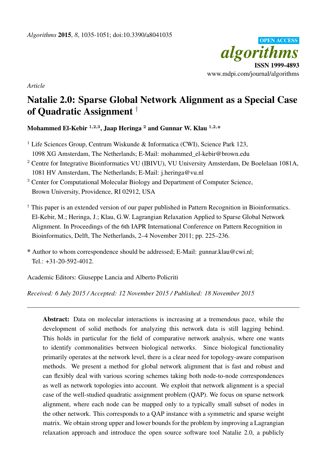

*Article*

# Natalie 2.0: Sparse Global Network Alignment as a Special Case of Quadratic Assignment †

Mohammed El-Kebir  $^{1,2,3},$  Jaap Heringa  $^2$  and Gunnar W. Klau  $^{1,2,\ast}$ 

<sup>1</sup> Life Sciences Group, Centrum Wiskunde & Informatica (CWI), Science Park 123, 1098 XG Amsterdam, The Netherlands; E-Mail: mohammed\_el-kebir@brown.edu

- <sup>2</sup> Centre for Integrative Bioinformatics VU (IBIVU), VU University Amsterdam, De Boelelaan 1081A, 1081 HV Amsterdam, The Netherlands; E-Mail: j.heringa@vu.nl
- <sup>3</sup> Center for Computational Molecular Biology and Department of Computer Science, Brown University, Providence, RI 02912, USA
- † This paper is an extended version of our paper published in Pattern Recognition in Bioinformatics. El-Kebir, M.; Heringa, J.; Klau, G.W. Lagrangian Relaxation Applied to Sparse Global Network Alignment. In Proceedings of the 6th IAPR International Conference on Pattern Recognition in Bioinformatics, Delft, The Netherlands, 2–4 November 2011; pp. 225–236.

\* Author to whom correspondence should be addressed; E-Mail: gunnar.klau@cwi.nl; Tel.: +31-20-592-4012.

Academic Editors: Giuseppe Lancia and Alberto Policriti

*Received: 6 July 2015 / Accepted: 12 November 2015 / Published: 18 November 2015*

Abstract: Data on molecular interactions is increasing at a tremendous pace, while the development of solid methods for analyzing this network data is still lagging behind. This holds in particular for the field of comparative network analysis, where one wants to identify commonalities between biological networks. Since biological functionality primarily operates at the network level, there is a clear need for topology-aware comparison methods. We present a method for global network alignment that is fast and robust and can flexibly deal with various scoring schemes taking both node-to-node correspondences as well as network topologies into account. We exploit that network alignment is a special case of the well-studied quadratic assignment problem (QAP). We focus on sparse network alignment, where each node can be mapped only to a typically small subset of nodes in the other network. This corresponds to a QAP instance with a symmetric and sparse weight matrix. We obtain strong upper and lower bounds for the problem by improving a Lagrangian relaxation approach and introduce the open source software tool Natalie 2.0, a publicly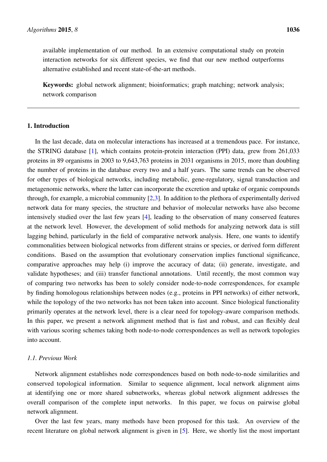available implementation of our method. In an extensive computational study on protein interaction networks for six different species, we find that our new method outperforms alternative established and recent state-of-the-art methods.

Keywords: global network alignment; bioinformatics; graph matching; network analysis; network comparison

# 1. Introduction

In the last decade, data on molecular interactions has increased at a tremendous pace. For instance, the STRING database [\[1\]](#page-14-0), which contains protein-protein interaction (PPI) data, grew from 261,033 proteins in 89 organisms in 2003 to 9,643,763 proteins in 2031 organisms in 2015, more than doubling the number of proteins in the database every two and a half years. The same trends can be observed for other types of biological networks, including metabolic, gene-regulatory, signal transduction and metagenomic networks, where the latter can incorporate the excretion and uptake of organic compounds through, for example, a microbial community [\[2,](#page-14-1)[3\]](#page-14-2). In addition to the plethora of experimentally derived network data for many species, the structure and behavior of molecular networks have also become intensively studied over the last few years [\[4\]](#page-14-3), leading to the observation of many conserved features at the network level. However, the development of solid methods for analyzing network data is still lagging behind, particularly in the field of comparative network analysis. Here, one wants to identify commonalities between biological networks from different strains or species, or derived form different conditions. Based on the assumption that evolutionary conservation implies functional significance, comparative approaches may help (i) improve the accuracy of data; (ii) generate, investigate, and validate hypotheses; and (iii) transfer functional annotations. Until recently, the most common way of comparing two networks has been to solely consider node-to-node correspondences, for example by finding homologous relationships between nodes (e.g., proteins in PPI networks) of either network, while the topology of the two networks has not been taken into account. Since biological functionality primarily operates at the network level, there is a clear need for topology-aware comparison methods. In this paper, we present a network alignment method that is fast and robust, and can flexibly deal with various scoring schemes taking both node-to-node correspondences as well as network topologies into account.

# *1.1. Previous Work*

Network alignment establishes node correspondences based on both node-to-node similarities and conserved topological information. Similar to sequence alignment, local network alignment aims at identifying one or more shared subnetworks, whereas global network alignment addresses the overall comparison of the complete input networks. In this paper, we focus on pairwise global network alignment.

Over the last few years, many methods have been proposed for this task. An overview of the recent literature on global network alignment is given in [\[5\]](#page-14-4). Here, we shortly list the most important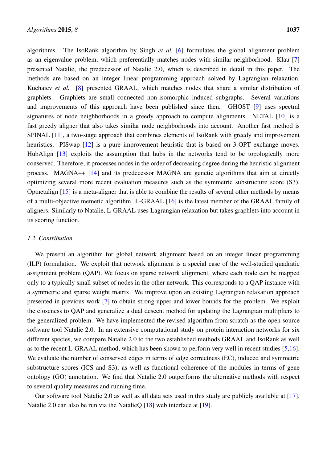algorithms. The IsoRank algorithm by Singh *et al.* [\[6\]](#page-14-5) formulates the global alignment problem as an eigenvalue problem, which preferentially matches nodes with similar neighborhood. Klau [\[7\]](#page-14-6) presented Natalie, the predecessor of Natalie 2.0, which is described in detail in this paper. The methods are based on an integer linear programming approach solved by Lagrangian relaxation. Kuchaiev *et al.* [\[8\]](#page-14-7) presented GRAAL, which matches nodes that share a similar distribution of graphlets. Graphlets are small connected non-isomorphic induced subgraphs. Several variations and improvements of this approach have been published since then. GHOST [\[9\]](#page-14-8) uses spectral signatures of node neighborhoods in a greedy approach to compute alignments. NETAL [\[10\]](#page-14-9) is a fast greedy aligner that also takes similar node neighborhoods into account. Another fast method is SPINAL [\[11\]](#page-14-10), a two-stage approach that combines elements of IsoRank with greedy and improvement heuristics. PISwap [\[12\]](#page-14-11) is a pure improvement heuristic that is based on 3-OPT exchange moves. HubAlign [\[13\]](#page-15-0) exploits the assumption that hubs in the networks tend to be topologically more conserved. Therefore, it processes nodes in the order of decreasing degree during the heuristic alignment process. MAGNA++ [\[14\]](#page-15-1) and its predecessor MAGNA are genetic algorithms that aim at directly optimizing several more recent evaluation measures such as the symmetric substructure score (S3). Optnetalign [\[15\]](#page-15-2) is a meta-aligner that is able to combine the results of several other methods by means of a multi-objective memetic algorithm. L-GRAAL [\[16\]](#page-15-3) is the latest member of the GRAAL family of aligners. Similarly to Natalie, L-GRAAL uses Lagrangian relaxation but takes graphlets into account in its scoring function.

#### *1.2. Contribution*

We present an algorithm for global network alignment based on an integer linear programming (ILP) formulation. We exploit that network alignment is a special case of the well-studied quadratic assignment problem (QAP). We focus on sparse network alignment, where each node can be mapped only to a typically small subset of nodes in the other network. This corresponds to a QAP instance with a symmetric and sparse weight matrix. We improve upon an existing Lagrangian relaxation approach presented in previous work [\[7\]](#page-14-6) to obtain strong upper and lower bounds for the problem. We exploit the closeness to QAP and generalize a dual descent method for updating the Lagrangian multipliers to the generalized problem. We have implemented the revised algorithm from scratch as the open source software tool Natalie 2.0. In an extensive computational study on protein interaction networks for six different species, we compare Natalie 2.0 to the two established methods GRAAL and IsoRank as well as to the recent L-GRAAL method, which has been shown to perform very well in recent studies [\[5,](#page-14-4)[16\]](#page-15-3). We evaluate the number of conserved edges in terms of edge correctness (EC), induced and symmetric substructure scores (ICS and S3), as well as functional coherence of the modules in terms of gene ontology (GO) annotation. We find that Natalie 2.0 outperforms the alternative methods with respect to several quality measures and running time.

Our software tool Natalie 2.0 as well as all data sets used in this study are publicly available at [\[17\]](#page-15-4). Natalie 2.0 can also be run via the NatalieO [\[18\]](#page-15-5) web interface at [\[19\]](#page-15-6).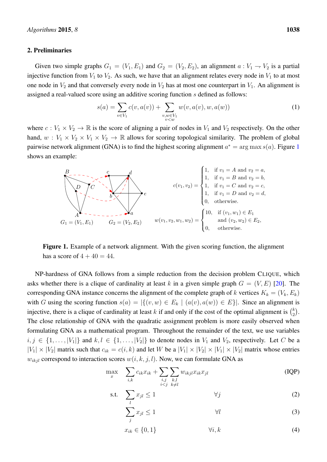#### 2. Preliminaries

Given two simple graphs  $G_1 = (V_1, E_1)$  and  $G_2 = (V_2, E_2)$ , an alignment  $a: V_1 \rightarrow V_2$  is a partial injective function from  $V_1$  to  $V_2$ . As such, we have that an alignment relates every node in  $V_1$  to at most one node in  $V_2$  and that conversely every node in  $V_2$  has at most one counterpart in  $V_1$ . An alignment is assigned a real-valued score using an additive scoring function s defined as follows:

<span id="page-3-3"></span>
$$
s(a) = \sum_{v \in V_1} c(v, a(v)) + \sum_{\substack{v, w \in V_1 \\ v < w}} w(v, a(v), w, a(w)) \tag{1}
$$

where  $c: V_1 \times V_2 \to \mathbb{R}$  is the score of aligning a pair of nodes in  $V_1$  and  $V_2$  respectively. On the other hand,  $w: V_1 \times V_2 \times V_1 \times V_2 \to \mathbb{R}$  allows for scoring topological similarity. The problem of global pairwise network alignment (GNA) is to find the highest scoring alignment  $a^* = \arg \max s(a)$ . Figure [1](#page-3-0) shows an example:

<span id="page-3-0"></span>

Figure 1. Example of a network alignment. With the given scoring function, the alignment has a score of  $4 + 40 = 44$ .

NP-hardness of GNA follows from a simple reduction from the decision problem CLIQUE, which asks whether there is a clique of cardinality at least k in a given simple graph  $G = (V, E)$  [\[20\]](#page-15-7). The corresponding GNA instance concerns the alignment of the complete graph of k vertices  $K_k = (V_k, E_k)$ with G using the scoring function  $s(a) = |\{(v, w) \in E_k \mid (a(v), a(w)) \in E\}|$ . Since an alignment is injective, there is a clique of cardinality at least k if and only if the cost of the optimal alignment is  $\binom{k}{2}$  $\binom{k}{2}$ . The close relationship of GNA with the quadratic assignment problem is more easily observed when formulating GNA as a mathematical program. Throughout the remainder of the text, we use variables  $i, j \in \{1, \ldots, |V_1|\}$  and  $k, l \in \{1, \ldots, |V_2|\}$  to denote nodes in  $V_1$  and  $V_2$ , respectively. Let C be a  $|V_1| \times |V_2|$  matrix such that  $c_{ik} = c(i, k)$  and let W be a  $|V_1| \times |V_2| \times |V_1| \times |V_2|$  matrix whose entries  $w_{ikjl}$  correspond to interaction scores  $w(i, k, j, l)$ . Now, we can formulate GNA as

$$
\max_{x} \quad \sum_{i,k} c_{ik} x_{ik} + \sum_{\substack{i,j \\ i < j}} \sum_{\substack{k,l \\ k \neq l}} w_{ikjl} x_{ik} x_{jl} \tag{IQP}
$$

$$
\text{s.t.} \quad \sum_{l} x_{jl} \le 1 \qquad \qquad \forall j \tag{2}
$$

<span id="page-3-4"></span><span id="page-3-2"></span><span id="page-3-1"></span>
$$
\sum_{j} x_{jl} \le 1 \qquad \qquad \forall l \tag{3}
$$

$$
x_{ik} \in \{0, 1\} \qquad \qquad \forall i, k \tag{4}
$$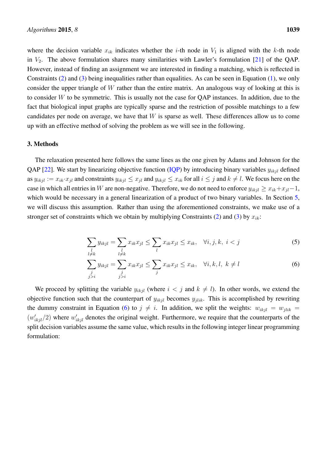where the decision variable  $x_{ik}$  indicates whether the *i*-th node in  $V_1$  is aligned with the *k*-th node in  $V_2$ . The above formulation shares many similarities with Lawler's formulation [\[21\]](#page-15-8) of the QAP. However, instead of finding an assignment we are interested in finding a matching, which is reflected in Constraints [\(2\)](#page-3-1) and [\(3\)](#page-3-2) being inequalities rather than equalities. As can be seen in Equation [\(1\)](#page-3-3), we only consider the upper triangle of  $W$  rather than the entire matrix. An analogous way of looking at this is to consider W to be symmetric. This is usually not the case for QAP instances. In addition, due to the fact that biological input graphs are typically sparse and the restriction of possible matchings to a few candidates per node on average, we have that  $W$  is sparse as well. These differences allow us to come up with an effective method of solving the problem as we will see in the following.

### <span id="page-4-1"></span>3. Methods

The relaxation presented here follows the same lines as the one given by Adams and Johnson for the QAP [\[22\]](#page-15-9). We start by linearizing objective function [\(IQP\)](#page-3-4) by introducing binary variables  $y_{ikjl}$  defined as  $y_{ikjl} := x_{ik} \cdot x_{jl}$  and constraints  $y_{ikjl} \leq x_{jl}$  and  $y_{ikjl} \leq x_{ik}$  for all  $i \leq j$  and  $k \neq l$ . We focus here on the case in which all entries in W are non-negative. Therefore, we do not need to enforce  $y_{ikjl} \ge x_{ik} + x_{jl} - 1$ , which would be necessary in a general linearization of a product of two binary variables. In Section [5,](#page-13-0) we will discuss this assumption. Rather than using the aforementioned constraints, we make use of a stronger set of constraints which we obtain by multiplying Constraints [\(2\)](#page-3-1) and [\(3\)](#page-3-2) by  $x_{ik}$ :

$$
\sum_{\substack{l\\l\neq k}} y_{ikjl} = \sum_{\substack{l\\l\neq k}} x_{ik} x_{jl} \le \sum_{l} x_{ik} x_{jl} \le x_{ik}, \quad \forall i, j, k, \ i < j \tag{5}
$$

<span id="page-4-0"></span>
$$
\sum_{\substack{j\\j>i}} y_{ikjl} = \sum_{\substack{j\\j>i}} x_{ik} x_{jl} \le \sum_j x_{ik} x_{jl} \le x_{ik}, \quad \forall i, k, l, k \ne l
$$
 (6)

We proceed by splitting the variable  $y_{ikjl}$  (where  $i < j$  and  $k \neq l$ ). In other words, we extend the objective function such that the counterpart of  $y_{ikjl}$  becomes  $y_{jlik}$ . This is accomplished by rewriting the dummy constraint in Equation [\(6\)](#page-4-0) to  $j \neq i$ . In addition, we split the weights:  $w_{ikjl} = w_{jlik}$  $(w'_{ikjl}/2)$  where  $w'_{ikjl}$  denotes the original weight. Furthermore, we require that the counterparts of the split decision variables assume the same value, which results in the following integer linear programming formulation: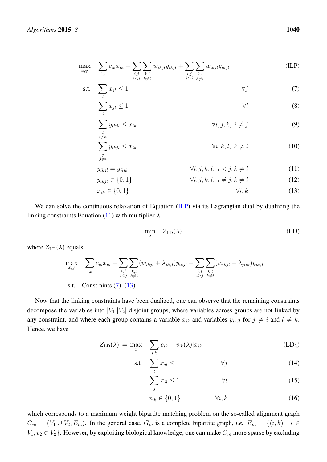$$
\max_{x,y} \quad \sum_{i,k} c_{ik} x_{ik} + \sum_{\substack{i,j \ ij}} \sum_{\substack{k,l \ i>j}} w_{ikjl} y_{ikjl} \tag{ILP}
$$

$$
\text{s.t.} \quad \sum_{l} x_{jl} \le 1 \tag{7}
$$

$$
\sum_{j} x_{jl} \le 1 \tag{8}
$$

<span id="page-5-2"></span><span id="page-5-0"></span>
$$
\sum_{\substack{l\\l\neq k}} y_{ikjl} \le x_{ik} \qquad \qquad \forall i, j, k, \ i \ne j \qquad \qquad (9)
$$

$$
\sum_{\substack{j\\j\neq i}} y_{ikjl} \le x_{ik} \qquad \qquad \forall i, k, l, k \neq l \qquad (10)
$$

$$
y_{ikjl} = y_{jlik} \qquad \qquad \forall i, j, k, l, i < j, k \neq l \tag{11}
$$

$$
y_{ikjl} \in \{0, 1\} \qquad \forall i, j, k, l, i \neq j, k \neq l \qquad (12)
$$

$$
x_{ik} \in \{0, 1\} \qquad \qquad \forall i, k \tag{13}
$$

We can solve the continuous relaxation of Equation [\(ILP\)](#page-5-0) via its Lagrangian dual by dualizing the linking constraints Equation [\(11\)](#page-5-1) with multiplier  $\lambda$ :

<span id="page-5-3"></span><span id="page-5-1"></span>
$$
\min_{\lambda} \quad Z_{\text{LD}}(\lambda) \tag{LD}
$$

where  $Z_{\text{LD}}(\lambda)$  equals

$$
\max_{x,y} \quad \sum_{i,k} c_{ik} x_{ik} + \sum_{\substack{i,j \ ij}} \sum_{\substack{k,l \ k\neq l}} (w_{ikjl} - \lambda_{jlik}) y_{ikjl}
$$
\ns.t. Constraints (7)–(13)

Now that the linking constraints have been dualized, one can observe that the remaining constraints decompose the variables into  $|V_1||V_2|$  disjoint groups, where variables across groups are not linked by any constraint, and where each group contains a variable  $x_{ik}$  and variables  $y_{ikjl}$  for  $j \neq i$  and  $l \neq k$ . Hence, we have

$$
Z_{\text{LD}}(\lambda) = \max_{x} \sum_{i,k} [c_{ik} + v_{ik}(\lambda)]x_{ik}
$$
 (LD<sub>λ</sub>)

$$
\text{s.t.} \quad \sum_{l} x_{jl} \le 1 \qquad \qquad \forall j \tag{14}
$$

$$
\sum_{j} x_{jl} \le 1 \qquad \qquad \forall l \tag{15}
$$

$$
x_{ik} \in \{0, 1\} \qquad \qquad \forall i, k \tag{16}
$$

which corresponds to a maximum weight bipartite matching problem on the so-called alignment graph  $G_m = (V_1 \cup V_2, E_m)$ . In the general case,  $G_m$  is a complete bipartite graph, *i.e.*  $E_m = \{(i, k) \mid i \in$  $V_1, v_2 \in V_2$ . However, by exploiting biological knowledge, one can make  $G_m$  more sparse by excluding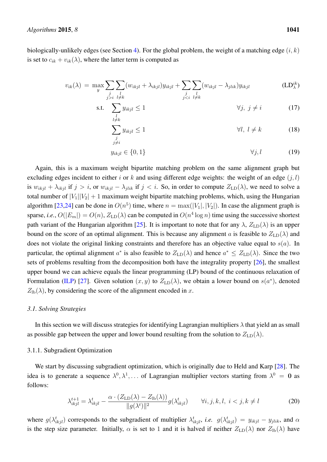biologically-unlikely edges (see Section [4\)](#page-10-0). For the global problem, the weight of a matching edge  $(i, k)$ is set to  $c_{ik} + v_{ik}(\lambda)$ , where the latter term is computed as

$$
v_{ik}(\lambda) = \max_{y} \sum_{\substack{j\\j>i}} \sum_{\substack{l\\l \neq k}} (w_{ikjl} + \lambda_{ikjl}) y_{ikjl} + \sum_{\substack{j\\j (LD<sub>λ</sub><sup>ik</sup>)
$$

$$
\text{s.t.} \quad \sum_{\substack{l \\ l \neq k}} y_{ikjl} \le 1 \qquad \qquad \forall j, \ j \neq i \tag{17}
$$

<span id="page-6-0"></span>
$$
\sum_{\substack{j\\j\neq i}} y_{ikjl} \le 1 \tag{18}
$$

$$
y_{ikjl} \in \{0, 1\} \qquad \qquad \forall j, l \qquad \qquad (19)
$$

Again, this is a maximum weight bipartite matching problem on the same alignment graph but excluding edges incident to either i or k and using different edge weights: the weight of an edge  $(i, l)$ is  $w_{ikjl} + \lambda_{ikjl}$  if  $j > i$ , or  $w_{ikjl} - \lambda_{jlik}$  if  $j < i$ . So, in order to compute  $Z_{LD}(\lambda)$ , we need to solve a total number of  $|V_1||V_2| + 1$  maximum weight bipartite matching problems, which, using the Hungarian algorithm [\[23,](#page-15-10)[24\]](#page-15-11) can be done in  $O(n^5)$  time, where  $n = \max(|V_1|, |V_2|)$ . In case the alignment graph is sparse, *i.e.*,  $O(|E_m|) = O(n)$ ,  $Z_{LD}(\lambda)$  can be computed in  $O(n^4 \log n)$  time using the successive shortest path variant of the Hungarian algorithm [\[25\]](#page-15-12). It is important to note that for any  $\lambda$ ,  $Z_{LD}(\lambda)$  is an upper bound on the score of an optimal alignment. This is because any alignment a is feasible to  $Z_{LD}(\lambda)$  and does not violate the original linking constraints and therefore has an objective value equal to  $s(a)$ . In particular, the optimal alignment  $a^*$  is also feasible to  $Z_{LD}(\lambda)$  and hence  $a^* \leq Z_{LD}(\lambda)$ . Since the two sets of problems resulting from the decomposition both have the integrality property [\[26\]](#page-15-13), the smallest upper bound we can achieve equals the linear programming (LP) bound of the continuous relaxation of Formulation [\(ILP\)](#page-5-0) [\[27\]](#page-15-14). Given solution  $(x, y)$  to  $Z_{LD}(\lambda)$ , we obtain a lower bound on  $s(a^*)$ , denoted  $Z<sub>lb</sub>(\lambda)$ , by considering the score of the alignment encoded in x.

#### *3.1. Solving Strategies*

In this section we will discuss strategies for identifying Lagrangian multipliers  $\lambda$  that yield an as small as possible gap between the upper and lower bound resulting from the solution to  $Z_{LD}(\lambda)$ .

### 3.1.1. Subgradient Optimization

We start by discussing subgradient optimization, which is originally due to Held and Karp [\[28\]](#page-15-15). The idea is to generate a sequence  $\lambda^0, \lambda^1, \ldots$  of Lagrangian multiplier vectors starting from  $\lambda^0 = 0$  as follows:

$$
\lambda_{ikjl}^{t+1} = \lambda_{ikjl}^t - \frac{\alpha \cdot (Z_{\text{LD}}(\lambda) - Z_{\text{lb}}(\lambda))}{\|g(\lambda^t)\|^2} g(\lambda_{ikjl}^t) \qquad \forall i, j, k, l, i < j, k \neq l \tag{20}
$$

where  $g(\lambda_{ikjl}^t)$  corresponds to the subgradient of multiplier  $\lambda_{ikjl}^t$ , *i.e.*  $g(\lambda_{ikjl}^t) = y_{ikjl} - y_{jlik}$ , and  $\alpha$ is the step size parameter. Initially,  $\alpha$  is set to 1 and it is halved if neither  $Z_{\text{LD}}(\lambda)$  nor  $Z_{\text{lb}}(\lambda)$  have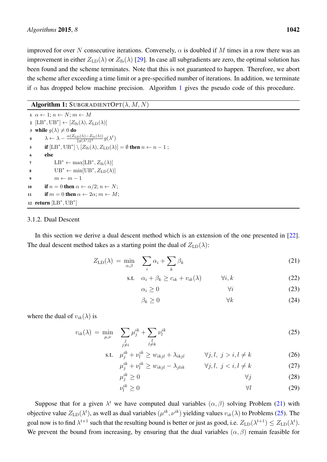improved for over N consecutive iterations. Conversely,  $\alpha$  is doubled if M times in a row there was an improvement in either  $Z_{LD}(\lambda)$  or  $Z_{lb}(\lambda)$  [\[29\]](#page-15-16). In case all subgradients are zero, the optimal solution has been found and the scheme terminates. Note that this is not guaranteed to happen. Therefore, we abort the scheme after exceeding a time limit or a pre-specified number of iterations. In addition, we terminate if  $\alpha$  has dropped below machine precision. Algorithm [1](#page-7-0) gives the pseudo code of this procedure.

# Algorithm 1: SUBGRADIENTOPT $(\lambda, M, N)$

<span id="page-7-0"></span> $1 \ \alpha \leftarrow 1; n \leftarrow N; m \leftarrow M$ 2  $[LB^*,UB^*] \leftarrow [Z_{\text{lb}}(\lambda), Z_{\text{LD}}(\lambda)]$ 3 while  $q(\lambda) \neq 0$  do 4  $\lambda \leftarrow \lambda - \frac{\alpha(Z_{\text{LD}}(\lambda) - Z_{\text{lb}}(\lambda))}{\|g(\lambda^t)\|^2} g(\lambda^t)$ 5 if  $[LB^*,UB^*] \setminus [Z_{\text{lb}}(\lambda), Z_{\text{LD}}(\lambda)] = \emptyset$  then  $n \leftarrow n - 1$ ; <sup>6</sup> else 7  $\text{LB}^* \leftarrow \max[\text{LB}^*, Z_{\text{lb}}(\lambda)]$ 8  $UB^* \leftarrow min[UB^*, Z_{LD}(\lambda)]$  $m \leftarrow m - 1$ 10 if  $n = 0$  then  $\alpha \leftarrow \alpha/2; n \leftarrow N;$ 11 if  $m = 0$  then  $\alpha \leftarrow 2\alpha$ ;  $m \leftarrow M$ ; 12 return  $[LB^*,UB^*]$ 

#### 3.1.2. Dual Descent

In this section we derive a dual descent method which is an extension of the one presented in [\[22\]](#page-15-9). The dual descent method takes as a starting point the dual of  $Z_{LD}(\lambda)$ :

$$
Z_{\text{LD}}(\lambda) = \min_{\alpha,\beta} \quad \sum_{i} \alpha_i + \sum_{k} \beta_k \tag{21}
$$

$$
\text{s.t.} \quad \alpha_i + \beta_k \ge c_{ik} + v_{ik}(\lambda) \qquad \forall i, k \tag{22}
$$

<span id="page-7-1"></span>
$$
\alpha_i \ge 0 \qquad \qquad \forall i \tag{23}
$$

<span id="page-7-5"></span><span id="page-7-4"></span><span id="page-7-3"></span><span id="page-7-2"></span>
$$
\beta_k \ge 0 \qquad \qquad \forall k \tag{24}
$$

where the dual of  $v_{ik}(\lambda)$  is

$$
v_{ik}(\lambda) = \min_{\mu,\nu} \sum_{\substack{j\\j\neq i}} \mu_j^{ik} + \sum_{\substack{l\\l\neq k}} \nu_l^{ik}
$$
 (25)

$$
\text{s.t.} \quad \mu_j^{ik} + \nu_l^{ik} \ge w_{ikjl} + \lambda_{ikjl} \qquad \forall j, l, \ j > i, l \ne k \tag{26}
$$

$$
\mu_j^{ik} + \nu_l^{ik} \ge w_{ikjl} - \lambda_{jlik} \qquad \forall j, l, j < i, l \ne k \tag{27}
$$

$$
\mu_j^{ik} \ge 0 \qquad \qquad \forall j \tag{28}
$$

<span id="page-7-6"></span>
$$
\nu_l^{ik} \ge 0 \qquad \qquad \forall l \qquad \qquad (29)
$$

Suppose that for a given  $\lambda^t$  we have computed dual variables  $(\alpha, \beta)$  solving Problem [\(21\)](#page-7-1) with objective value  $Z_{\text{LD}}(\lambda^t)$ , as well as dual variables  $(\mu^{ik}, \nu^{ik})$  yielding values  $v_{ik}(\lambda)$  to Problems [\(25\)](#page-7-2). The goal now is to find  $\lambda^{t+1}$  such that the resulting bound is better or just as good, i.e.  $Z_{\text{LD}}(\lambda^{t+1}) \leq Z_{\text{LD}}(\lambda^{t})$ . We prevent the bound from increasing, by ensuring that the dual variables  $(\alpha, \beta)$  remain feasible for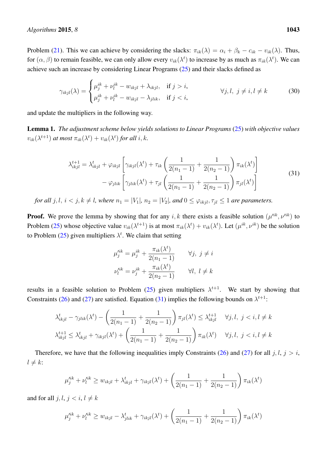Problem [\(21\)](#page-7-1). This we can achieve by considering the slacks:  $\pi_{ik}(\lambda) = \alpha_i + \beta_k - c_{ik} - v_{ik}(\lambda)$ . Thus, for  $(\alpha, \beta)$  to remain feasible, we can only allow every  $v_{ik}(\lambda^t)$  to increase by as much as  $\pi_{ik}(\lambda^t)$ . We can achieve such an increase by considering Linear Programs [\(25\)](#page-7-2) and their slacks defined as

$$
\gamma_{ikjl}(\lambda) = \begin{cases} \mu_j^{ik} + \nu_l^{ik} - w_{ikjl} + \lambda_{ikjl}, & \text{if } j > i, \\ \mu_j^{ik} + \nu_l^{ik} - w_{ikjl} - \lambda_{jlik}, & \text{if } j < i, \end{cases} \qquad \forall j, l, j \neq i, l \neq k \tag{30}
$$

and update the multipliers in the following way.

Lemma 1. *The adjustment scheme below yields solutions to Linear Programs* [\(25\)](#page-7-2) *with objective values*  $v_{ik}(\lambda^{t+1})$  at most  $\pi_{ik}(\lambda^{t}) + v_{ik}(\lambda^{t})$  for all  $i, k$ .

$$
\lambda_{ikjl}^{t+1} = \lambda_{ikjl}^t + \varphi_{ikjl} \left[ \gamma_{ikjl}(\lambda^t) + \tau_{ik} \left( \frac{1}{2(n_1 - 1)} + \frac{1}{2(n_2 - 1)} \right) \pi_{ik}(\lambda^t) \right] - \varphi_{jlik} \left[ \gamma_{jlik}(\lambda^t) + \tau_{jl} \left( \frac{1}{2(n_1 - 1)} + \frac{1}{2(n_2 - 1)} \right) \pi_{jl}(\lambda^t) \right]
$$
(31)

<span id="page-8-0"></span>*for all*  $j, l, i < j, k \neq l$ , where  $n_1 = |V_1|$ ,  $n_2 = |V_2|$ , and  $0 \leq \varphi_{ikjl}, \tau_{jl} \leq 1$  are parameters.

**Proof.** We prove the lemma by showing that for any i, k there exists a feasible solution  $(\mu'^{ik}, \nu'^{ik})$  to Problem [\(25\)](#page-7-2) whose objective value  $v_{ik}(\lambda^{t+1})$  is at most  $\pi_{ik}(\lambda^t) + v_{ik}(\lambda^t)$ . Let  $(\mu^{ik}, \nu^{ik})$  be the solution to Problem [\(25\)](#page-7-2) given multipliers  $\lambda^t$ . We claim that setting

$$
\mu_j^{'ik} = \mu_j^{ik} + \frac{\pi_{ik}(\lambda^t)}{2(n_1 - 1)} \qquad \forall j, \ j \neq i
$$
  

$$
\nu_l'^{ik} = \nu_j^{ik} + \frac{\pi_{ik}(\lambda^t)}{2(n_2 - 1)} \qquad \forall l, \ l \neq k
$$

results in a feasible solution to Problem [\(25\)](#page-7-2) given multipliers  $\lambda^{t+1}$ . We start by showing that Constraints [\(26\)](#page-7-3) and [\(27\)](#page-7-4) are satisfied. Equation [\(31\)](#page-8-0) implies the following bounds on  $\lambda^{t+1}$ :

$$
\lambda_{ikjl}^t - \gamma_{jlik}(\lambda^t) - \left(\frac{1}{2(n_1 - 1)} + \frac{1}{2(n_2 - 1)}\right)\pi_{jl}(\lambda^t) \le \lambda_{ikjl}^{t+1} \quad \forall j, l, j < i, l \ne k
$$
  

$$
\lambda_{ikjl}^{t+1} \le \lambda_{ikjl}^t + \gamma_{ikjl}(\lambda^t) + \left(\frac{1}{2(n_1 - 1)} + \frac{1}{2(n_2 - 1)}\right)\pi_{ik}(\lambda^t) \quad \forall j, l, j < i, l \ne k
$$

Therefore, we have that the following inequalities imply Constraints [\(26\)](#page-7-3) and [\(27\)](#page-7-4) for all j, l,  $j > i$ ,  $l \neq k$ :

$$
\mu_j'^{ik} + \nu_l'^{ik} \ge w_{ikjl} + \lambda_{ikjl}^t + \gamma_{ikjl}(\lambda^t) + \left(\frac{1}{2(n_1 - 1)} + \frac{1}{2(n_2 - 1)}\right)\pi_{ik}(\lambda^t)
$$

and for all  $j, l, j < i, l \neq k$ 

$$
\mu_j'^{ik} + \nu_l'^{ik} \ge w_{ikjl} - \lambda_{jlik}^t + \gamma_{ikjl}(\lambda^t) + \left(\frac{1}{2(n_1 - 1)} + \frac{1}{2(n_2 - 1)}\right)\pi_{ik}(\lambda^t)
$$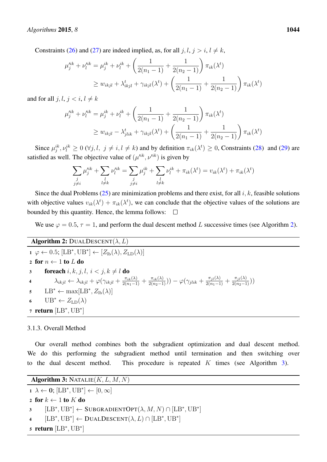Constraints [\(26\)](#page-7-3) and [\(27\)](#page-7-4) are indeed implied, as, for all  $j, l, j > i, l \neq k$ ,

$$
\mu_j'^{ik} + \nu_l'^{ik} = \mu_j^{ik} + \nu_l^{ik} + \left(\frac{1}{2(n_1 - 1)} + \frac{1}{2(n_2 - 1)}\right) \pi_{ik}(\lambda^t)
$$
  
\n
$$
\geq w_{ikjl} + \lambda_{ikjl}^t + \gamma_{ikjl}(\lambda^t) + \left(\frac{1}{2(n_1 - 1)} + \frac{1}{2(n_2 - 1)}\right) \pi_{ik}(\lambda^t)
$$

and for all  $j, l, j < i, l \neq k$ 

$$
\mu_j'^{ik} + \nu_l'^{ik} = \mu_j^{ik} + \nu_l^{ik} + \left(\frac{1}{2(n_1 - 1)} + \frac{1}{2(n_2 - 1)}\right) \pi_{ik}(\lambda^t)
$$
  
\n
$$
\geq w_{ikjl} - \lambda_{jlik}^t + \gamma_{ikjl}(\lambda^t) + \left(\frac{1}{2(n_1 - 1)} + \frac{1}{2(n_2 - 1)}\right) \pi_{ik}(\lambda^t)
$$

Since  $\mu_j^{ik}, \nu_l^{ik} \ge 0$  ( $\forall j, l, j \ne i, l \ne k$ ) and by definition  $\pi_{ik}(\lambda^t) \ge 0$ , Constraints [\(28\)](#page-7-5) and [\(29\)](#page-7-6) are satisfied as well. The objective value of  $(\mu^{ijk}, \nu'^{ik})$  is given by

$$
\sum_{\substack{j\\j\neq i}}\mu'^{ik}_j+\sum_{\substack{l\\l\neq k}}\nu'^{ik}_l=\sum_{\substack{j\\j\neq i}}\mu^{ik}_j+\sum_{\substack{l\\l\neq k}}\nu^{ik}_l+\pi_{ik}(\lambda^t)=v_{ik}(\lambda^t)+\pi_{ik}(\lambda^t)
$$

Since the dual Problems  $(25)$  are minimization problems and there exist, for all i, k, feasible solutions with objective values  $v_{ik}(\lambda^t) + \pi_{ik}(\lambda^t)$ , we can conclude that the objective values of the solutions are bounded by this quantity. Hence, the lemma follows:  $\Box$ 

We use  $\varphi = 0.5$ ,  $\tau = 1$ , and perform the dual descent method L successive times (see Algorithm [2\)](#page-9-0).

# Algorithm 2: DUALDESCENT $(\lambda, L)$

<span id="page-9-0"></span>1 
$$
\varphi \leftarrow 0.5; [LB^*, UB^*] \leftarrow [Z_{\text{lb}}(\lambda), Z_{\text{LD}}(\lambda)]
$$
  
\n2 for  $n \leftarrow 1$  to L do  
\n3 **forecast** i, k, j, l, i < j, k \neq l do  
\n4  $\lambda_{ikjl} \leftarrow \lambda_{ikjl} + \varphi(\gamma_{ikjl} + \frac{\pi_{ik}(\lambda)}{2(n_1-1)} + \frac{\pi_{ik}(\lambda)}{2(n_2-1)})) - \varphi(\gamma_{jlik} + \frac{\pi_{jl}(\lambda)}{2(n_1-1)} + \frac{\pi_{jl}(\lambda)}{2(n_2-1)}))$   
\n5  $LB^* \leftarrow \max[LB^*, Z_{\text{lb}}(\lambda)]$   
\n6  $UB^* \leftarrow Z_{\text{LD}}(\lambda)$   
\n7 **return** [LB^\*, UB^\*]

## 3.1.3. Overall Method

Our overall method combines both the subgradient optimization and dual descent method. We do this performing the subgradient method until termination and then switching over to the dual descent method. This procedure is repeated K times (see Algorithm [3\)](#page-9-1).

```
Algorithm 3: \overline{\text{NATALIE}(K, L, M, N)}
```

```
\mathbf{1} \ \lambda \leftarrow \mathbf{0}; [\text{LB}^*, \text{UB}^*] \leftarrow [0, \infty]2 for k \leftarrow 1 to K do
3 [LB^*,UB^*] \leftarrow SUBGRAPHOPT(\lambda, M, N) \cap [LB^*,UB^*]4 [LB^*,UB^*] \leftarrow \text{DualDescription}(\lambda, L) \cap [LB^*,UB^*]5 return [LB^*,UB^*]
```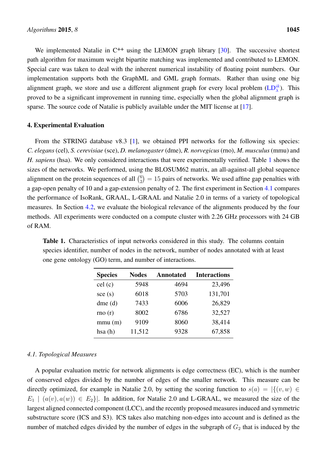We implemented Natalie in  $C^{++}$  using the LEMON graph library  $[30]$ . The successive shortest path algorithm for maximum weight bipartite matching was implemented and contributed to LEMON. Special care was taken to deal with the inherent numerical instability of floating point numbers. Our implementation supports both the GraphML and GML graph formats. Rather than using one big alignment graph, we store and use a different alignment graph for every local problem  $(LD_\lambda^{ik})$  $(LD_\lambda^{ik})$ . This proved to be a significant improvement in running time, especially when the global alignment graph is sparse. The source code of Natalie is publicly available under the MIT license at [\[17\]](#page-15-4).

## <span id="page-10-0"></span>4. Experimental Evaluation

From the STRING database v8.3 [\[1\]](#page-14-0), we obtained PPI networks for the following six species: *C. elegans* (cel), *S. cerevisiae* (sce), *D. melanogaster* (dme), *R. norvegicus* (rno), *M. musculus* (mmu) and *H. sapiens* (hsa). We only considered interactions that were experimentally verified. Table [1](#page-10-1) shows the sizes of the networks. We performed, using the BLOSUM62 matrix, an all-against-all global sequence alignment on the protein sequences of all  $\binom{6}{2}$  $\binom{6}{2} = 15$  pairs of networks. We used affine gap penalties with a gap-open penalty of 10 and a gap-extension penalty of 2. The first experiment in Section [4.1](#page-10-2) compares the performance of IsoRank, GRAAL, L-GRAAL and Natalie 2.0 in terms of a variety of topological measures. In Section [4.2,](#page-12-0) we evaluate the biological relevance of the alignments produced by the four methods. All experiments were conducted on a compute cluster with 2.26 GHz processors with 24 GB of RAM.

<span id="page-10-1"></span>Table 1. Characteristics of input networks considered in this study. The columns contain species identifier, number of nodes in the network, number of nodes annotated with at least one gene ontology (GO) term, and number of interactions.

| <b>Species</b> | <b>Nodes</b> | <b>Annotated</b> | <b>Interactions</b> |
|----------------|--------------|------------------|---------------------|
| cel(c)         | 5948         | 4694             | 23,496              |
| $\sec(s)$      | 6018         | 5703             | 131,701             |
| $d$ me $(d)$   | 7433         | 6006             | 26,829              |
| rno $(r)$      | 8002         | 6786             | 32,527              |
| mmu(m)         | 9109         | 8060             | 38,414              |
| hsa(h)         | 11,512       | 9328             | 67,858              |

# <span id="page-10-2"></span>*4.1. Topological Measures*

A popular evaluation metric for network alignments is edge correctness (EC), which is the number of conserved edges divided by the number of edges of the smaller network. This measure can be directly optimized, for example in Natalie 2.0, by setting the scoring function to  $s(a) = |\{(v, w) \in$  $E_1 \mid (a(v), a(w)) \in E_2$ . In addition, for Natalie 2.0 and L-GRAAL, we measured the size of the largest aligned connected component (LCC), and the recently proposed measures induced and symmetric substructure score (ICS and S3). ICS takes also matching non-edges into account and is defined as the number of matched edges divided by the number of edges in the subgraph of  $G_2$  that is induced by the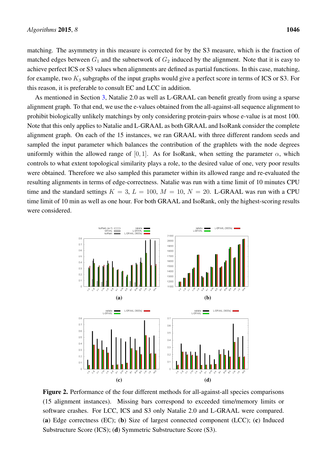matching. The asymmetry in this measure is corrected for by the S3 measure, which is the fraction of matched edges between  $G_1$  and the subnetwork of  $G_2$  induced by the alignment. Note that it is easy to achieve perfect ICS or S3 values when alignments are defined as partial functions. In this case, matching, for example, two  $K_3$  subgraphs of the input graphs would give a perfect score in terms of ICS or S3. For this reason, it is preferable to consult EC and LCC in addition.

As mentioned in Section [3,](#page-4-1) Natalie 2.0 as well as L-GRAAL can benefit greatly from using a sparse alignment graph. To that end, we use the e-values obtained from the all-against-all sequence alignment to prohibit biologically unlikely matchings by only considering protein-pairs whose e-value is at most 100. Note that this only applies to Natalie and L-GRAAL as both GRAAL and IsoRank consider the complete alignment graph. On each of the 15 instances, we ran GRAAL with three different random seeds and sampled the input parameter which balances the contribution of the graphlets with the node degrees uniformly within the allowed range of [0, 1]. As for IsoRank, when setting the parameter  $\alpha$ , which controls to what extent topological similarity plays a role, to the desired value of one, very poor results were obtained. Therefore we also sampled this parameter within its allowed range and re-evaluated the resulting alignments in terms of edge-correctness. Natalie was run with a time limit of 10 minutes CPU time and the standard settings  $K = 3$ ,  $L = 100$ ,  $M = 10$ ,  $N = 20$ . L-GRAAL was run with a CPU time limit of 10 min as well as one hour. For both GRAAL and IsoRank, only the highest-scoring results were considered.

<span id="page-11-0"></span>

Figure 2. Performance of the four different methods for all-against-all species comparisons (15 alignment instances). Missing bars correspond to exceeded time/memory limits or software crashes. For LCC, ICS and S3 only Natalie 2.0 and L-GRAAL were compared. (a) Edge correctness (EC); (b) Size of largest connected component (LCC); (c) Induced Substructure Score (ICS); (d) Symmetric Substructure Score (S3).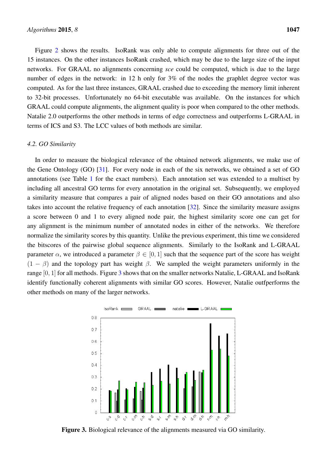Figure [2](#page-11-0) shows the results. IsoRank was only able to compute alignments for three out of the 15 instances. On the other instances IsoRank crashed, which may be due to the large size of the input networks. For GRAAL no alignments concerning *sce* could be computed, which is due to the large number of edges in the network: in 12 h only for 3% of the nodes the graphlet degree vector was computed. As for the last three instances, GRAAL crashed due to exceeding the memory limit inherent to 32-bit processes. Unfortunately no 64-bit executable was available. On the instances for which GRAAL could compute alignments, the alignment quality is poor when compared to the other methods. Natalie 2.0 outperforms the other methods in terms of edge correctness and outperforms L-GRAAL in terms of ICS and S3. The LCC values of both methods are similar.

## <span id="page-12-0"></span>*4.2. GO Similarity*

In order to measure the biological relevance of the obtained network alignments, we make use of the Gene Ontology (GO) [\[31\]](#page-15-18). For every node in each of the six networks, we obtained a set of GO annotations (see Table [1](#page-10-1) for the exact numbers). Each annotation set was extended to a multiset by including all ancestral GO terms for every annotation in the original set. Subsequently, we employed a similarity measure that compares a pair of aligned nodes based on their GO annotations and also takes into account the relative frequency of each annotation [\[32\]](#page-16-0). Since the similarity measure assigns a score between 0 and 1 to every aligned node pair, the highest similarity score one can get for any alignment is the minimum number of annotated nodes in either of the networks. We therefore normalize the similarity scores by this quantity. Unlike the previous experiment, this time we considered the bitscores of the pairwise global sequence alignments. Similarly to the IsoRank and L-GRAAL parameter  $\alpha$ , we introduced a parameter  $\beta \in [0, 1]$  such that the sequence part of the score has weight  $(1 - \beta)$  and the topology part has weight  $\beta$ . We sampled the weight parameters uniformly in the range [0, 1] for all methods. Figure [3](#page-12-1) shows that on the smaller networks Natalie, L-GRAAL and IsoRank identify functionally coherent alignments with similar GO scores. However, Natalie outfperforms the other methods on many of the larger networks.

<span id="page-12-1"></span>

Figure 3. Biological relevance of the alignments measured via GO similarity.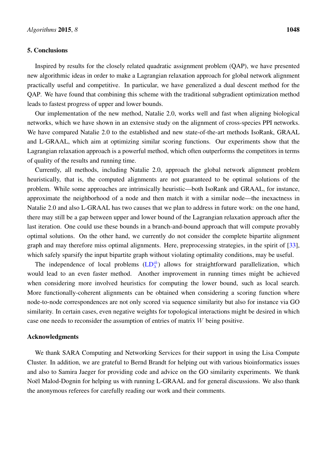### <span id="page-13-0"></span>5. Conclusions

Inspired by results for the closely related quadratic assignment problem (QAP), we have presented new algorithmic ideas in order to make a Lagrangian relaxation approach for global network alignment practically useful and competitive. In particular, we have generalized a dual descent method for the QAP. We have found that combining this scheme with the traditional subgradient optimization method leads to fastest progress of upper and lower bounds.

Our implementation of the new method, Natalie 2.0, works well and fast when aligning biological networks, which we have shown in an extensive study on the alignment of cross-species PPI networks. We have compared Natalie 2.0 to the established and new state-of-the-art methods IsoRank, GRAAL and L-GRAAL, which aim at optimizing similar scoring functions. Our experiments show that the Lagrangian relaxation approach is a powerful method, which often outperforms the competitors in terms of quality of the results and running time.

Currently, all methods, including Natalie 2.0, approach the global network alignment problem heuristically, that is, the computed alignments are not guaranteed to be optimal solutions of the problem. While some approaches are intrinsically heuristic—both IsoRank and GRAAL, for instance, approximate the neighborhood of a node and then match it with a similar node—the inexactness in Natalie 2.0 and also L-GRAAL has two causes that we plan to address in future work: on the one hand, there may still be a gap between upper and lower bound of the Lagrangian relaxation approach after the last iteration. One could use these bounds in a branch-and-bound approach that will compute provably optimal solutions. On the other hand, we currently do not consider the complete bipartite alignment graph and may therefore miss optimal alignments. Here, preprocessing strategies, in the spirit of [\[33\]](#page-16-1), which safely sparsify the input bipartite graph without violating optimality conditions, may be useful.

The independence of local problems  $(LD_\lambda^{ik})$  $(LD_\lambda^{ik})$  allows for straightforward parallelization, which would lead to an even faster method. Another improvement in running times might be achieved when considering more involved heuristics for computing the lower bound, such as local search. More functionally-coherent alignments can be obtained when considering a scoring function where node-to-node correspondences are not only scored via sequence similarity but also for instance via GO similarity. In certain cases, even negative weights for topological interactions might be desired in which case one needs to reconsider the assumption of entries of matrix W being positive.

## Acknowledgments

We thank SARA Computing and Networking Services for their support in using the Lisa Compute Cluster. In addition, we are grateful to Bernd Brandt for helping out with various bioinformatics issues and also to Samira Jaeger for providing code and advice on the GO similarity experiments. We thank Noël Malod-Dognin for helping us with running L-GRAAL and for general discussions. We also thank the anonymous referees for carefully reading our work and their comments.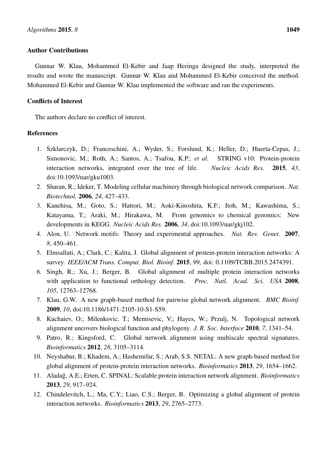# Author Contributions

Gunnar W. Klau, Mohammed El-Kebir and Jaap Heringa designed the study, interpreted the results and wrote the manuscript. Gunnar W. Klau and Mohammed El-Kebir conceived the method. Mohammed El-Kebir and Gunnar W. Klau implemented the software and ran the experiments.

# Conflicts of Interest

The authors declare no conflict of interest.

# References

- <span id="page-14-0"></span>1. Szklarczyk, D.; Franceschini, A.; Wyder, S.; Forslund, K.; Heller, D.; Huerta-Cepas, J.; Simonovic, M.; Roth, A.; Santos, A.; Tsafou, K.P.; *et al.* STRING v10: Protein-protein interaction networks, integrated over the tree of life. *Nucleic Acids Res.* 2015, *43*, doi:10.1093/nar/gku1003.
- <span id="page-14-1"></span>2. Sharan, R.; Ideker, T. Modeling cellular machinery through biological network comparison. *Nat. Biotechnol.* 2006, *24*, 427–433.
- <span id="page-14-2"></span>3. Kanehisa, M.; Goto, S.; Hattori, M.; Aoki-Kinoshita, K.F.; Itoh, M.; Kawashima, S.; Katayama, T.; Araki, M.; Hirakawa, M. From genomics to chemical genomics: New developments in KEGG. *Nucleic Acids Res.* 2006, *34*, doi:10.1093/nar/gkj102.
- <span id="page-14-3"></span>4. Alon, U. Network motifs: Theory and experimental approaches. *Nat. Rev. Genet.* 2007, *8*, 450–461.
- <span id="page-14-4"></span>5. Elmsallati, A.; Clark, C.; Kalita, J. Global alignment of protein-protein interaction networks: A survey. *IEEE/ACM Trans. Comput. Biol. Bioinf.* 2015, *99*, doi: 0.1109/TCBB.2015.2474391.
- <span id="page-14-5"></span>6. Singh, R.; Xu, J.; Berger, B. Global alignment of multiple protein interaction networks with application to functional orthology detection. *Proc. Natl. Acad. Sci. USA* 2008, *105*, 12763–12768.
- <span id="page-14-6"></span>7. Klau, G.W. A new graph-based method for pairwise global network alignment. *BMC Bioinf.* 2009, *10*, doi:10.1186/1471-2105-10-S1-S59.
- <span id="page-14-7"></span>8. Kuchaiev, O.; Milenkovic, T.; Memisevic, V.; Hayes, W.; Przulj, N. Topological network alignment uncovers biological function and phylogeny. *J. R. Soc. Interface* 2010, *7*, 1341–54.
- <span id="page-14-8"></span>9. Patro, R.; Kingsford, C. Global network alignment using multiscale spectral signatures. *Bioinformatics* 2012, *28*, 3105–3114.
- <span id="page-14-9"></span>10. Neyshabur, B.; Khadem, A.; Hashemifar, S.; Arab, S.S. NETAL: A new graph-based method for global alignment of protein-protein interaction networks. *Bioinformatics* 2013, *29*, 1654–1662.
- <span id="page-14-10"></span>11. Aladag, A.E.; Erten, C. SPINAL: Scalable protein interaction network alignment. ˘ *Bioinformatics* 2013, *29*, 917–924.
- <span id="page-14-11"></span>12. Chindelevitch, L.; Ma, C.Y.; Liao, C.S.; Berger, B. Optimizing a global alignment of protein interaction networks. *Bioinformatics* 2013, *29*, 2765–2773.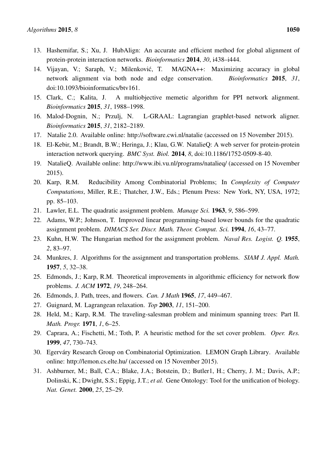- <span id="page-15-0"></span>13. Hashemifar, S.; Xu, J. HubAlign: An accurate and efficient method for global alignment of protein-protein interaction networks. *Bioinformatics* 2014, *30*, i438–i444.
- <span id="page-15-1"></span>14. Vijayan, V.; Saraph, V.; Milenkovic, T. MAGNA++: Maximizing accuracy in global ´ network alignment via both node and edge conservation. *Bioinformatics* 2015, *31*, doi:10.1093/bioinformatics/btv161.
- <span id="page-15-2"></span>15. Clark, C.; Kalita, J. A multiobjective memetic algorithm for PPI network alignment. *Bioinformatics* 2015, *31*, 1988–1998.
- <span id="page-15-3"></span>16. Malod-Dognin, N.; Przulj, N. L-GRAAL: Lagrangian graphlet-based network aligner. *Bioinformatics* 2015, *31*, 2182–2189.
- <span id="page-15-4"></span>17. Natalie 2.0. Available online: http://software.cwi.nl/natalie (accessed on 15 November 2015).
- <span id="page-15-5"></span>18. El-Kebir, M.; Brandt, B.W.; Heringa, J.; Klau, G.W. NatalieQ: A web server for protein-protein interaction network querying. *BMC Syst. Biol.* 2014, *8*, doi:10.1186/1752-0509-8-40.
- <span id="page-15-6"></span>19. NatalieQ. Available online: http://www.ibi.vu.nl/programs/natalieq/ (accessed on 15 November 2015).
- <span id="page-15-7"></span>20. Karp, R.M. Reducibility Among Combinatorial Problems; In *Complexity of Computer Computations*, Miller, R.E.; Thatcher, J.W., Eds.; Plenum Press: New York, NY, USA, 1972; pp. 85–103.
- <span id="page-15-8"></span>21. Lawler, E.L. The quadratic assignment problem. *Manage Sci.* 1963, *9*, 586–599.
- <span id="page-15-9"></span>22. Adams, W.P.; Johnson, T. Improved linear programming-based lower bounds for the quadratic assignment problem. *DIMACS Ser. Discr. Math. Theor. Comput. Sci.* 1994, *16*, 43–77.
- <span id="page-15-10"></span>23. Kuhn, H.W. The Hungarian method for the assignment problem. *Naval Res. Logist. Q.* 1955, *2*, 83–97.
- <span id="page-15-11"></span>24. Munkres, J. Algorithms for the assignment and transportation problems. *SIAM J. Appl. Math.* 1957, *5*, 32–38.
- <span id="page-15-12"></span>25. Edmonds, J.; Karp, R.M. Theoretical improvements in algorithmic efficiency for network flow problems. *J. ACM* 1972, *19*, 248–264.
- <span id="page-15-13"></span>26. Edmonds, J. Path, trees, and flowers. *Can. J Math* 1965, *17*, 449–467.
- <span id="page-15-14"></span>27. Guignard, M. Lagrangean relaxation. *Top* 2003, *11*, 151–200.
- <span id="page-15-15"></span>28. Held, M.; Karp, R.M. The traveling-salesman problem and minimum spanning trees: Part II. *Math. Progr.* 1971, *1*, 6–25.
- <span id="page-15-16"></span>29. Caprara, A.; Fischetti, M.; Toth, P. A heuristic method for the set cover problem. *Oper. Res.* 1999, *47*, 730–743.
- <span id="page-15-17"></span>30. Egerváry Research Group on Combinatorial Optimization. LEMON Graph Library. Available online: http://lemon.cs.elte.hu/ (accessed on 15 November 2015).
- <span id="page-15-18"></span>31. Ashburner, M.; Ball, C.A.; Blake, J.A.; Botstein, D.; Butler1, H.; Cherry, J. M.; Davis, A.P.; Dolinski, K.; Dwight, S.S.; Eppig, J.T.; *et al.* Gene Ontology: Tool for the unification of biology. *Nat. Genet.* 2000, *25*, 25–29.